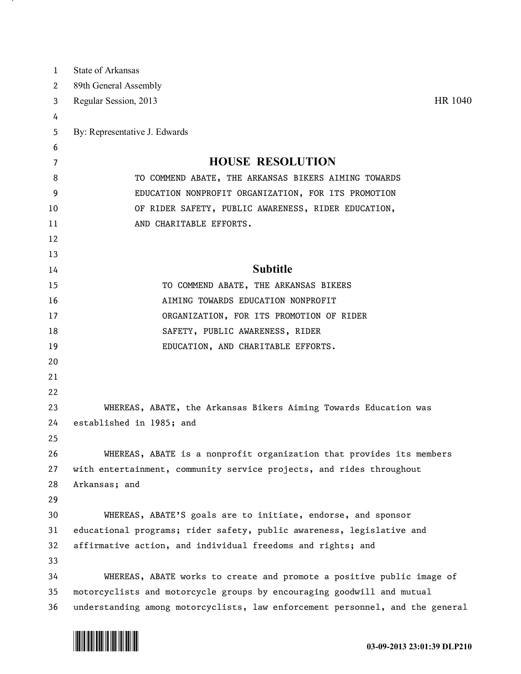| 1  | State of Arkansas                                                             |
|----|-------------------------------------------------------------------------------|
| 2  | 89th General Assembly                                                         |
| 3  | HR 1040<br>Regular Session, 2013                                              |
| 4  |                                                                               |
| 5  | By: Representative J. Edwards                                                 |
| 6  |                                                                               |
| 7  | <b>HOUSE RESOLUTION</b>                                                       |
| 8  | TO COMMEND ABATE, THE ARKANSAS BIKERS AIMING TOWARDS                          |
| 9  | EDUCATION NONPROFIT ORGANIZATION, FOR ITS PROMOTION                           |
| 10 | OF RIDER SAFETY, PUBLIC AWARENESS, RIDER EDUCATION,                           |
| 11 | AND CHARITABLE EFFORTS.                                                       |
| 12 |                                                                               |
| 13 |                                                                               |
| 14 | <b>Subtitle</b>                                                               |
| 15 | TO COMMEND ABATE, THE ARKANSAS BIKERS                                         |
| 16 | AIMING TOWARDS EDUCATION NONPROFIT                                            |
| 17 | ORGANIZATION, FOR ITS PROMOTION OF RIDER                                      |
| 18 | SAFETY, PUBLIC AWARENESS, RIDER                                               |
| 19 | EDUCATION, AND CHARITABLE EFFORTS.                                            |
| 20 |                                                                               |
| 21 |                                                                               |
| 22 |                                                                               |
| 23 | WHEREAS, ABATE, the Arkansas Bikers Aiming Towards Education was              |
| 24 | established in 1985; and                                                      |
| 25 |                                                                               |
| 26 | WHEREAS, ABATE is a nonprofit organization that provides its members          |
| 27 | with entertainment, community service projects, and rides throughout          |
| 28 | Arkansas; and                                                                 |
| 29 |                                                                               |
| 30 | WHEREAS, ABATE'S goals are to initiate, endorse, and sponsor                  |
| 31 | educational programs; rider safety, public awareness, legislative and         |
| 32 | affirmative action, and individual freedoms and rights; and                   |
| 33 |                                                                               |
| 34 | WHEREAS, ABATE works to create and promote a positive public image of         |
| 35 | motorcyclists and motorcycle groups by encouraging goodwill and mutual        |
| 36 | understanding among motorcyclists, law enforcement personnel, and the general |



<u>на п</u>